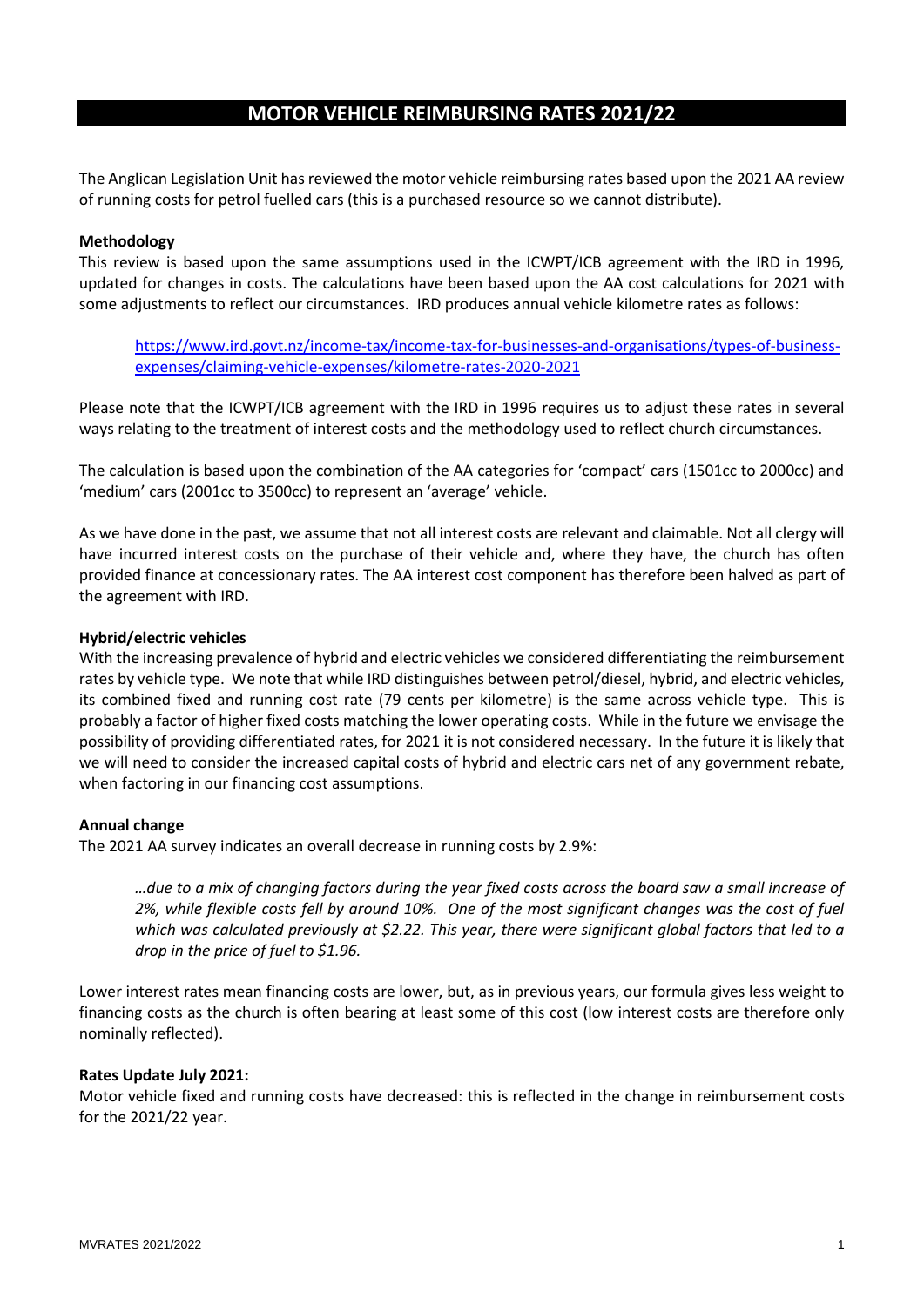# **MOTOR VEHICLE REIMBURSING RATES 2021/22**

The Anglican Legislation Unit has reviewed the motor vehicle reimbursing rates based upon the 2021 AA review of running costs for petrol fuelled cars (this is a purchased resource so we cannot distribute).

# **Methodology**

This review is based upon the same assumptions used in the ICWPT/ICB agreement with the IRD in 1996, updated for changes in costs. The calculations have been based upon the AA cost calculations for 2021 with some adjustments to reflect our circumstances. IRD produces annual vehicle kilometre rates as follows:

https://www.ird.govt.nz/income-tax/income-tax-for-businesses-and-organisations/types-of-businessexpenses/claiming-vehicle-expenses/kilometre-rates-2020-2021

Please note that the ICWPT/ICB agreement with the IRD in 1996 requires us to adjust these rates in several ways relating to the treatment of interest costs and the methodology used to reflect church circumstances.

The calculation is based upon the combination of the AA categories for 'compact' cars (1501cc to 2000cc) and 'medium' cars (2001cc to 3500cc) to represent an 'average' vehicle.

As we have done in the past, we assume that not all interest costs are relevant and claimable. Not all clergy will have incurred interest costs on the purchase of their vehicle and, where they have, the church has often provided finance at concessionary rates. The AA interest cost component has therefore been halved as part of the agreement with IRD.

## **Hybrid/electric vehicles**

With the increasing prevalence of hybrid and electric vehicles we considered differentiating the reimbursement rates by vehicle type. We note that while IRD distinguishes between petrol/diesel, hybrid, and electric vehicles, its combined fixed and running cost rate (79 cents per kilometre) is the same across vehicle type. This is probably a factor of higher fixed costs matching the lower operating costs. While in the future we envisage the possibility of providing differentiated rates, for 2021 it is not considered necessary. In the future it is likely that we will need to consider the increased capital costs of hybrid and electric cars net of any government rebate, when factoring in our financing cost assumptions.

#### **Annual change**

The 2021 AA survey indicates an overall decrease in running costs by 2.9%:

*…due to a mix of changing factors during the year fixed costs across the board saw a small increase of 2%, while flexible costs fell by around 10%. One of the most significant changes was the cost of fuel which was calculated previously at \$2.22. This year, there were significant global factors that led to a drop in the price of fuel to \$1.96.*

Lower interest rates mean financing costs are lower, but, as in previous years, our formula gives less weight to financing costs as the church is often bearing at least some of this cost (low interest costs are therefore only nominally reflected).

#### **Rates Update July 2021:**

Motor vehicle fixed and running costs have decreased: this is reflected in the change in reimbursement costs for the 2021/22 year.